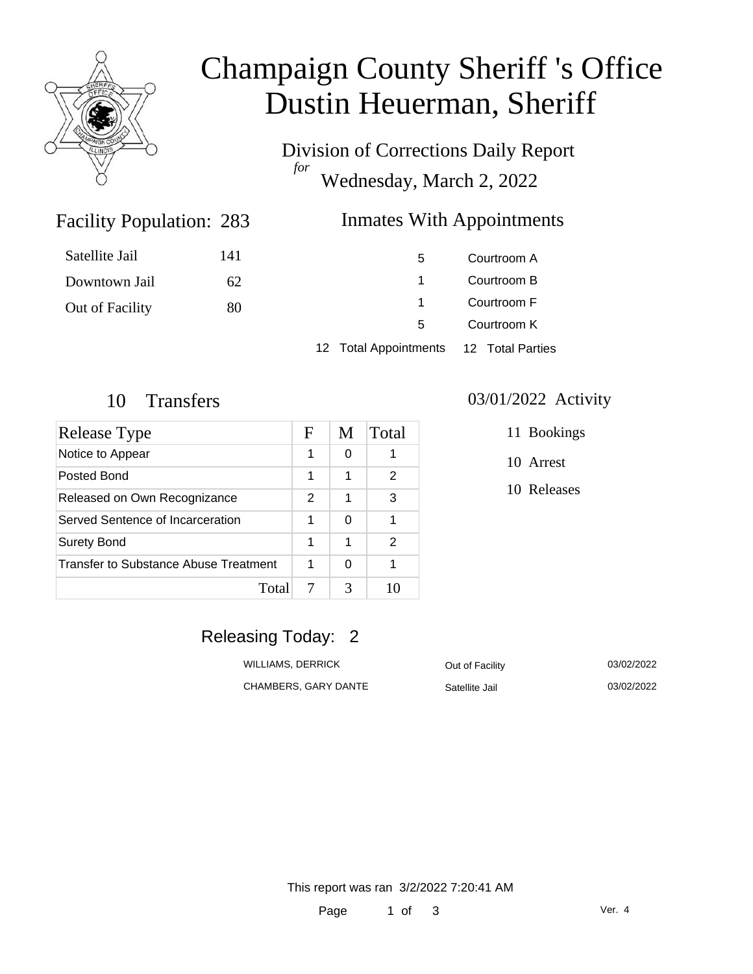

# Champaign County Sheriff 's Office Dustin Heuerman, Sheriff

Division of Corrections Daily Report *for* Wednesday, March 2, 2022

## Facility Population: 283

## **Inmates With Appointments**

| Satellite Jail  | 141 | 5.                                     | Courtroom A |
|-----------------|-----|----------------------------------------|-------------|
| Downtown Jail   | 62  |                                        | Courtroom B |
| Out of Facility | 80  |                                        | Courtroom F |
|                 |     | 5.                                     | Courtroom K |
|                 |     | 12 Total Appointments 12 Total Parties |             |

| Release Type                          | F | M | Total |
|---------------------------------------|---|---|-------|
| Notice to Appear                      | 1 | 0 |       |
| Posted Bond                           | 1 | 1 | 2     |
| Released on Own Recognizance          | 2 | 1 | 3     |
| Served Sentence of Incarceration      | 1 | 0 |       |
| <b>Surety Bond</b>                    | 1 | 1 | 2     |
| Transfer to Substance Abuse Treatment | 1 | 0 |       |
| Total                                 |   | 3 | 10    |

#### 10 Transfers 03/01/2022 Activity

11 Bookings

10 Arrest

10 Releases

# Releasing Today: 2

WILLIAMS, DERRICK **Out of Facility** 03/02/2022 CHAMBERS, GARY DANTE Satellite Jail 03/02/2022

This report was ran 3/2/2022 7:20:41 AM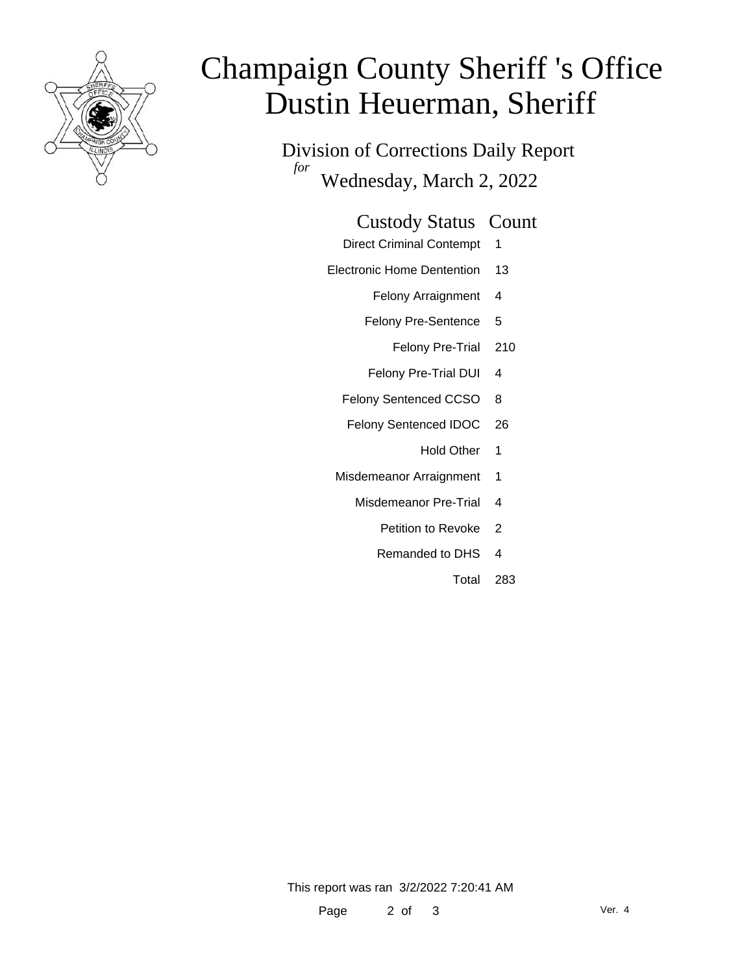

# Champaign County Sheriff 's Office Dustin Heuerman, Sheriff

Division of Corrections Daily Report *for* Wednesday, March 2, 2022

#### Custody Status Count

- Direct Criminal Contempt 1
- Electronic Home Dentention 13
	- Felony Arraignment 4
	- Felony Pre-Sentence 5
		- Felony Pre-Trial 210
	- Felony Pre-Trial DUI 4
	- Felony Sentenced CCSO 8
	- Felony Sentenced IDOC 26
		- Hold Other 1
	- Misdemeanor Arraignment 1
		- Misdemeanor Pre-Trial 4
			- Petition to Revoke 2
			- Remanded to DHS 4
				- Total 283

This report was ran 3/2/2022 7:20:41 AM